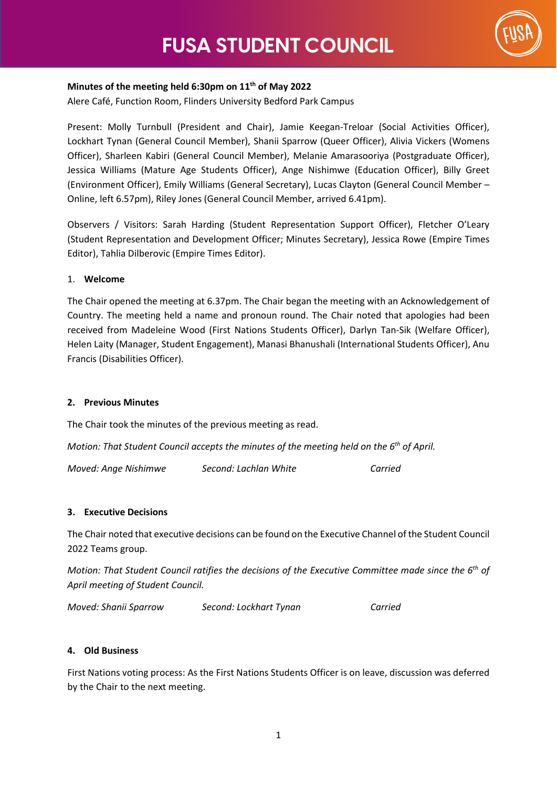

## **Minutes of the meeting held 6:30pm on 11th of May 2022**

Alere Café, Function Room, Flinders University Bedford Park Campus

Present: Molly Turnbull (President and Chair), Jamie Keegan-Treloar (Social Activities Officer), Lockhart Tynan (General Council Member), Shanii Sparrow (Queer Officer), Alivia Vickers (Womens Officer), Sharleen Kabiri (General Council Member), Melanie Amarasooriya (Postgraduate Officer), Jessica Williams (Mature Age Students Officer), Ange Nishimwe (Education Officer), Billy Greet (Environment Officer), Emily Williams (General Secretary), Lucas Clayton (General Council Member – Online, left 6.57pm), Riley Jones (General Council Member, arrived 6.41pm).

Observers / Visitors: Sarah Harding (Student Representation Support Officer), Fletcher O'Leary (Student Representation and Development Officer; Minutes Secretary), Jessica Rowe (Empire Times Editor), Tahlia Dilberovic (Empire Times Editor).

### 1. **Welcome**

The Chair opened the meeting at 6.37pm. The Chair began the meeting with an Acknowledgement of Country. The meeting held a name and pronoun round. The Chair noted that apologies had been received from Madeleine Wood (First Nations Students Officer), Darlyn Tan-Sik (Welfare Officer), Helen Laity (Manager, Student Engagement), Manasi Bhanushali (International Students Officer), Anu Francis (Disabilities Officer).

## **2. Previous Minutes**

The Chair took the minutes of the previous meeting as read.

*Motion: That Student Council accepts the minutes of the meeting held on the 6th of April.* 

*Moved: Ange Nishimwe Second: Lachlan White Carried*

### **3. Executive Decisions**

The Chair noted that executive decisions can be found on the Executive Channel of the Student Council 2022 Teams group.

*Motion: That Student Council ratifies the decisions of the Executive Committee made since the 6th of April meeting of Student Council.* 

*Moved: Shanii Sparrow Second: Lockhart Tynan Carried*

### **4. Old Business**

First Nations voting process: As the First Nations Students Officer is on leave, discussion was deferred by the Chair to the next meeting.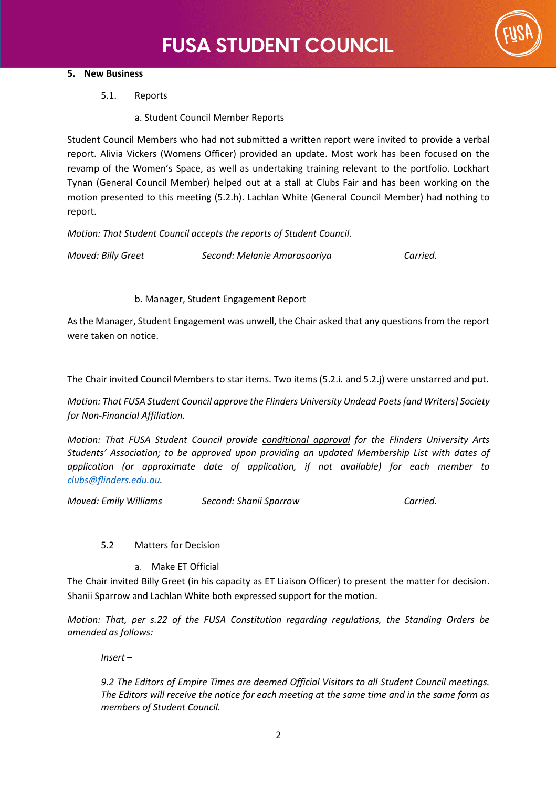

## **5. New Business**

5.1. Reports

a. Student Council Member Reports

Student Council Members who had not submitted a written report were invited to provide a verbal report. Alivia Vickers (Womens Officer) provided an update. Most work has been focused on the revamp of the Women's Space, as well as undertaking training relevant to the portfolio. Lockhart Tynan (General Council Member) helped out at a stall at Clubs Fair and has been working on the motion presented to this meeting (5.2.h). Lachlan White (General Council Member) had nothing to report.

*Motion: That Student Council accepts the reports of Student Council.* 

*Moved: Billy Greet Second: Melanie Amarasooriya Carried.* 

b. Manager, Student Engagement Report

As the Manager, Student Engagement was unwell, the Chair asked that any questions from the report were taken on notice.

The Chair invited Council Members to star items. Two items (5.2.i. and 5.2.j) were unstarred and put.

*Motion: That FUSA Student Council approve the Flinders University Undead Poets [and Writers] Society for Non-Financial Affiliation.* 

*Motion: That FUSA Student Council provide conditional approval for the Flinders University Arts Students' Association; to be approved upon providing an updated Membership List with dates of application (or approximate date of application, if not available) for each member to [clubs@flinders.edu.au.](mailto:clubs@flinders.edu.au)* 

*Moved: Emily Williams Second: Shanii Sparrow Carried.*

## 5.2 Matters for Decision

a. Make ET Official

The Chair invited Billy Greet (in his capacity as ET Liaison Officer) to present the matter for decision. Shanii Sparrow and Lachlan White both expressed support for the motion.

*Motion: That, per s.22 of the FUSA Constitution regarding regulations, the Standing Orders be amended as follows:* 

*Insert –* 

*9.2 The Editors of Empire Times are deemed Official Visitors to all Student Council meetings. The Editors will receive the notice for each meeting at the same time and in the same form as members of Student Council.*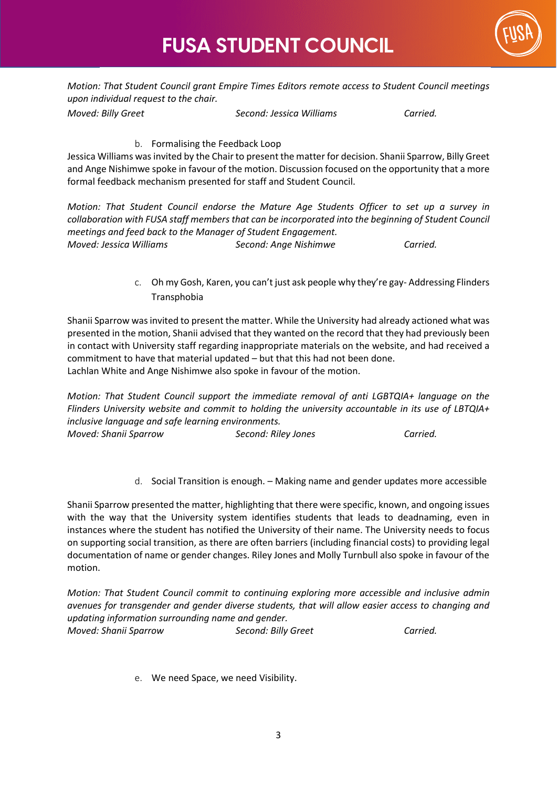



*Motion: That Student Council grant Empire Times Editors remote access to Student Council meetings upon individual request to the chair.* 

*Moved: Billy Greet Second: Jessica Williams Carried.*

b. Formalising the Feedback Loop

Jessica Williams was invited by the Chair to present the matter for decision. Shanii Sparrow, Billy Greet and Ange Nishimwe spoke in favour of the motion. Discussion focused on the opportunity that a more formal feedback mechanism presented for staff and Student Council.

*Motion: That Student Council endorse the Mature Age Students Officer to set up a survey in collaboration with FUSA staff members that can be incorporated into the beginning of Student Council meetings and feed back to the Manager of Student Engagement. Moved: Jessica Williams Second: Ange Nishimwe Carried.*

> c. Oh my Gosh, Karen, you can't just ask people why they're gay- Addressing Flinders Transphobia

Shanii Sparrow was invited to present the matter. While the University had already actioned what was presented in the motion, Shanii advised that they wanted on the record that they had previously been in contact with University staff regarding inappropriate materials on the website, and had received a commitment to have that material updated – but that this had not been done. Lachlan White and Ange Nishimwe also spoke in favour of the motion.

*Motion: That Student Council support the immediate removal of anti LGBTQIA+ language on the Flinders University website and commit to holding the university accountable in its use of LBTQIA+ inclusive language and safe learning environments.* 

*Moved: Shanii Sparrow Second: Riley Jones Carried.* 

d. Social Transition is enough. – Making name and gender updates more accessible

Shanii Sparrow presented the matter, highlighting that there were specific, known, and ongoing issues with the way that the University system identifies students that leads to deadnaming, even in instances where the student has notified the University of their name. The University needs to focus on supporting social transition, as there are often barriers (including financial costs) to providing legal documentation of name or gender changes. Riley Jones and Molly Turnbull also spoke in favour of the motion.

*Motion: That Student Council commit to continuing exploring more accessible and inclusive admin avenues for transgender and gender diverse students, that will allow easier access to changing and updating information surrounding name and gender. Moved: Shanii Sparrow Second: Billy Greet Carried.* 

e. We need Space, we need Visibility.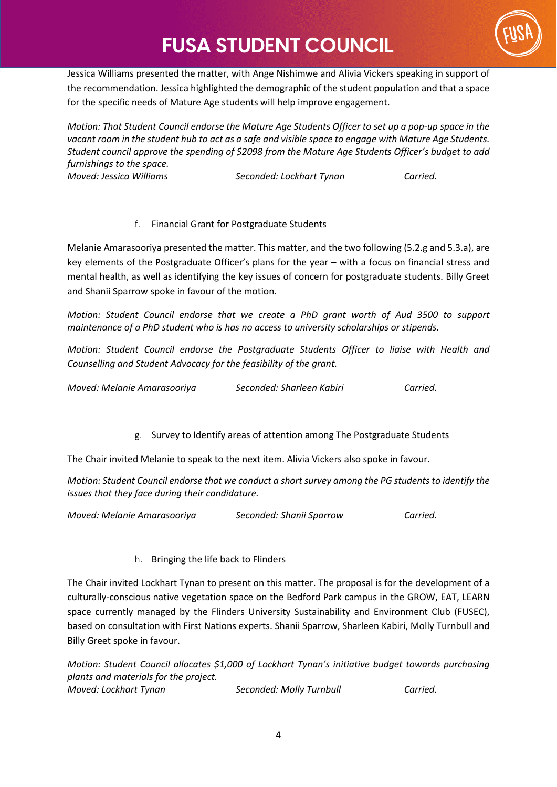# **FUSA STUDENT COUNCIL**



Jessica Williams presented the matter, with Ange Nishimwe and Alivia Vickers speaking in support of the recommendation. Jessica highlighted the demographic of the student population and that a space for the specific needs of Mature Age students will help improve engagement.

*Motion: That Student Council endorse the Mature Age Students Officer to set up a pop-up space in the vacant room in the student hub to act as a safe and visible space to engage with Mature Age Students. Student council approve the spending of \$2098 from the Mature Age Students Officer's budget to add furnishings to the space. Moved: Jessica Williams Seconded: Lockhart Tynan Carried.*

f. Financial Grant for Postgraduate Students

Melanie Amarasooriya presented the matter. This matter, and the two following (5.2.g and 5.3.a), are key elements of the Postgraduate Officer's plans for the year – with a focus on financial stress and mental health, as well as identifying the key issues of concern for postgraduate students. Billy Greet and Shanii Sparrow spoke in favour of the motion.

*Motion: Student Council endorse that we create a PhD grant worth of Aud 3500 to support maintenance of a PhD student who is has no access to university scholarships or stipends.*

*Motion: Student Council endorse the Postgraduate Students Officer to liaise with Health and Counselling and Student Advocacy for the feasibility of the grant.* 

*Moved: Melanie Amarasooriya Seconded: Sharleen Kabiri Carried.*

g. Survey to Identify areas of attention among The Postgraduate Students

The Chair invited Melanie to speak to the next item. Alivia Vickers also spoke in favour.

*Motion: Student Council endorse that we conduct a short survey among the PG students to identify the issues that they face during their candidature.*

*Moved: Melanie Amarasooriya Seconded: Shanii Sparrow Carried.* 

h. Bringing the life back to Flinders

The Chair invited Lockhart Tynan to present on this matter. The proposal is for the development of a culturally-conscious native vegetation space on the Bedford Park campus in the GROW, EAT, LEARN space currently managed by the Flinders University Sustainability and Environment Club (FUSEC), based on consultation with First Nations experts. Shanii Sparrow, Sharleen Kabiri, Molly Turnbull and Billy Greet spoke in favour.

*Motion: Student Council allocates \$1,000 of Lockhart Tynan's initiative budget towards purchasing plants and materials for the project. Moved: Lockhart Tynan Seconded: Molly Turnbull Carried.*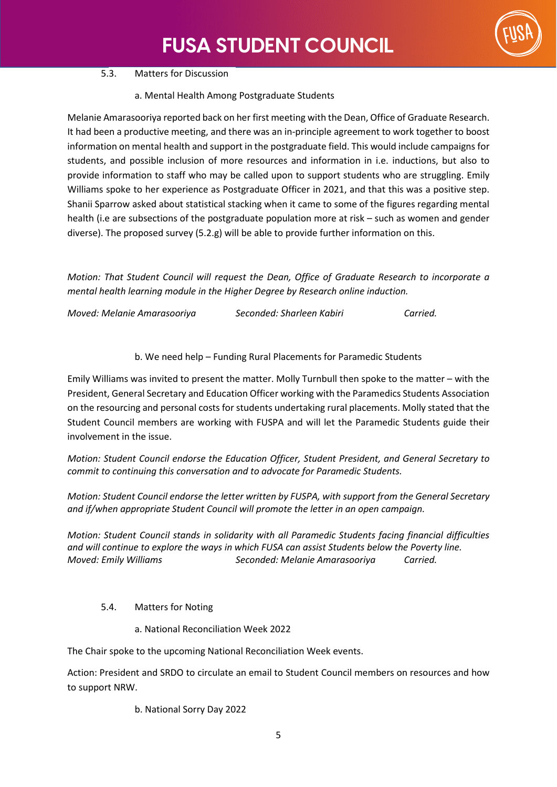

## 5.3. Matters for Discussion

a. Mental Health Among Postgraduate Students

Melanie Amarasooriya reported back on her first meeting with the Dean, Office of Graduate Research. It had been a productive meeting, and there was an in-principle agreement to work together to boost information on mental health and support in the postgraduate field. This would include campaigns for students, and possible inclusion of more resources and information in i.e. inductions, but also to provide information to staff who may be called upon to support students who are struggling. Emily Williams spoke to her experience as Postgraduate Officer in 2021, and that this was a positive step. Shanii Sparrow asked about statistical stacking when it came to some of the figures regarding mental health (i.e are subsections of the postgraduate population more at risk – such as women and gender diverse). The proposed survey (5.2.g) will be able to provide further information on this.

*Motion: That Student Council will request the Dean, Office of Graduate Research to incorporate a mental health learning module in the Higher Degree by Research online induction.* 

| Moved: Melanie Amarasooriya | Seconded: Sharleen Kabiri | Carried. |
|-----------------------------|---------------------------|----------|
|-----------------------------|---------------------------|----------|

b. We need help – Funding Rural Placements for Paramedic Students

Emily Williams was invited to present the matter. Molly Turnbull then spoke to the matter – with the President, General Secretary and Education Officer working with the Paramedics Students Association on the resourcing and personal costs for students undertaking rural placements. Molly stated that the Student Council members are working with FUSPA and will let the Paramedic Students guide their involvement in the issue.

*Motion: Student Council endorse the Education Officer, Student President, and General Secretary to commit to continuing this conversation and to advocate for Paramedic Students.*

*Motion: Student Council endorse the letter written by FUSPA, with support from the General Secretary and if/when appropriate Student Council will promote the letter in an open campaign.* 

*Motion: Student Council stands in solidarity with all Paramedic Students facing financial difficulties and will continue to explore the ways in which FUSA can assist Students below the Poverty line. Moved: Emily Williams Seconded: Melanie Amarasooriya Carried.*

- 5.4. Matters for Noting
	- a. National Reconciliation Week 2022

The Chair spoke to the upcoming National Reconciliation Week events.

Action: President and SRDO to circulate an email to Student Council members on resources and how to support NRW.

b. National Sorry Day 2022